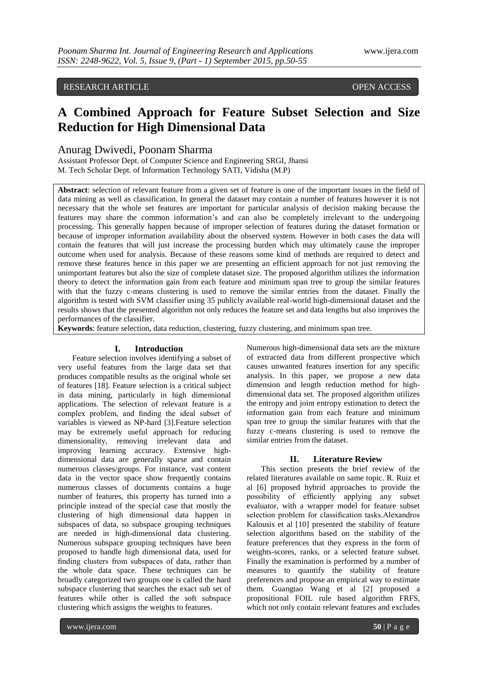# RESEARCH ARTICLE OPEN ACCESS

# **A Combined Approach for Feature Subset Selection and Size Reduction for High Dimensional Data**

# Anurag Dwivedi, Poonam Sharma

Assistant Professor Dept. of Computer Science and Engineering SRGI, Jhansi M. Tech Scholar Dept. of Information Technology SATI, Vidisha (M.P)

**Abstract**: selection of relevant feature from a given set of feature is one of the important issues in the field of data mining as well as classification. In general the dataset may contain a number of features however it is not necessary that the whole set features are important for particular analysis of decision making because the features may share the common information"s and can also be completely irrelevant to the undergoing processing. This generally happen because of improper selection of features during the dataset formation or because of improper information availability about the observed system. However in both cases the data will contain the features that will just increase the processing burden which may ultimately cause the improper outcome when used for analysis. Because of these reasons some kind of methods are required to detect and remove these features hence in this paper we are presenting an efficient approach for not just removing the unimportant features but also the size of complete dataset size. The proposed algorithm utilizes the information theory to detect the information gain from each feature and minimum span tree to group the similar features with that the fuzzy c-means clustering is used to remove the similar entries from the dataset. Finally the algorithm is tested with SVM classifier using 35 publicly available real-world high-dimensional dataset and the results shows that the presented algorithm not only reduces the feature set and data lengths but also improves the performances of the classifier.

**Keywords**: feature selection, data reduction, clustering, fuzzy clustering, and minimum span tree.

# **I. Introduction**

Feature selection involves identifying a subset of very useful features from the large data set that produces compatible results as the original whole set of features [18]. Feature selection is a critical subject in data mining, particularly in high dimensional applications. The selection of relevant feature is a complex problem, and finding the ideal subset of variables is viewed as NP-hard [3].Feature selection may be extremely useful approach for reducing dimensionality, removing irrelevant data and improving learning accuracy. Extensive highdimensional data are generally sparse and contain numerous classes/groups. For instance, vast content data in the vector space show frequently contains numerous classes of documents contains a huge number of features, this property has turned into a principle instead of the special case that mostly the clustering of high dimensional data happen in subspaces of data, so subspace grouping techniques are needed in high-dimensional data clustering. Numerous subspace grouping techniques have been proposed to handle high dimensional data, used for finding clusters from subspaces of data, rather than the whole data space. These techniques can be broadly categorized two groups one is called the hard subspace clustering that searches the exact sub set of features while other is called the soft subspace clustering which assigns the weights to features.

Numerous high-dimensional data sets are the mixture of extracted data from different prospective which causes unwanted features insertion for any specific analysis. In this paper, we propose a new data dimension and length reduction method for highdimensional data set. The proposed algorithm utilizes the entropy and joint entropy estimation to detect the information gain from each feature and minimum span tree to group the similar features with that the fuzzy c-means clustering is used to remove the similar entries from the dataset.

# **II. Literature Review**

This section presents the brief review of the related literatures available on same topic. R. Ruiz et al [6] proposed hybrid approaches to provide the possibility of efficiently applying any subset evaluator, with a wrapper model for feature subset selection problem for classification tasks.Alexandros Kalousis et al [10] presented the stability of feature selection algorithms based on the stability of the feature preferences that they express in the form of weights-scores, ranks, or a selected feature subset. Finally the examination is performed by a number of measures to quantify the stability of feature preferences and propose an empirical way to estimate them. Guangtao Wang et al [2] proposed a propositional FOIL rule based algorithm FRFS, which not only contain relevant features and excludes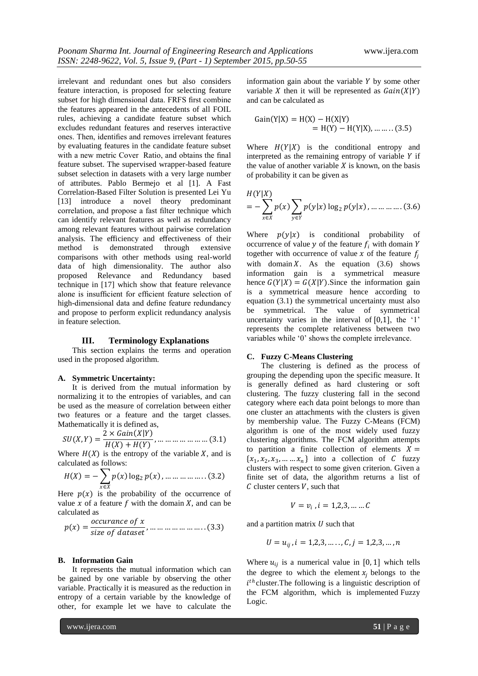irrelevant and redundant ones but also considers feature interaction, is proposed for selecting feature subset for high dimensional data. FRFS first combine the features appeared in the antecedents of all FOIL rules, achieving a candidate feature subset which excludes redundant features and reserves interactive ones. Then, identifies and removes irrelevant features by evaluating features in the candidate feature subset with a new metric Cover Ratio, and obtains the final feature subset. The supervised wrapper-based feature subset selection in datasets with a very large number of attributes. Pablo Bermejo et al [1]. A Fast Correlation-Based Filter Solution is presented Lei Yu [13] introduce a novel theory predominant correlation, and propose a fast filter technique which can identify relevant features as well as redundancy among relevant features without pairwise correlation analysis. The efficiency and effectiveness of their method is demonstrated through extensive comparisons with other methods using real-world data of high dimensionality. The author also proposed Relevance and Redundancy based technique in [17] which show that feature relevance alone is insufficient for efficient feature selection of high-dimensional data and define feature redundancy and propose to perform explicit redundancy analysis in feature selection.

## **III. Terminology Explanations**

This section explains the terms and operation used in the proposed algorithm.

#### **A. Symmetric Uncertainty:**

It is derived from the mutual information by normalizing it to the entropies of variables, and can be used as the measure of correlation between either two features or a feature and the target classes. Mathematically it is defined as,

$$
SU(X,Y) = \frac{2 \times Gain(X|Y)}{H(X) + H(Y)}, \dots \dots \dots \dots \dots \dots \dots \dots (3.1)
$$

Where  $H(X)$  is the entropy of the variable X, and is calculated as follows:

$$
H(X) = -\sum_{x \in X} p(x) \log_2 p(x), \dots \dots \dots \dots \dots (3.2)
$$

Here  $p(x)$  is the probability of the occurrence of value  $x$  of a feature  $f$  with the domain  $X$ , and can be calculated as

 = , … … … … … … … . . 3.3

#### **B. Information Gain**

It represents the mutual information which can be gained by one variable by observing the other variable. Practically it is measured as the reduction in entropy of a certain variable by the knowledge of other, for example let we have to calculate the information gain about the variable  $Y$  by some other variable  $X$  then it will be represented as  $Gain(X|Y)$ and can be calculated as

Gain Y X = H X − H X Y = H Y − H Y X , … … . . (3.5)

Where  $H(Y|X)$  is the conditional entropy and interpreted as the remaining entropy of variable  $Y$  if the value of another variable  $X$  is known, on the basis of probability it can be given as

$$
H(Y|X) = -\sum_{x \in X} p(x) \sum_{y \in Y} p(y|x) \log_2 p(y|x), \dots \dots \dots \dots (3.6)
$$

Where  $p(y|x)$  is conditional probability of occurrence of value  $y$  of the feature  $f_i$  with domain Y together with occurrence of value  $x$  of the feature  $f_i$ with domain X. As the equation  $(3.6)$  shows information gain is a symmetrical measure hence  $G(Y|X) = G(X|Y)$ . Since the information gain is a symmetrical measure hence according to equation (3.1) the symmetrical uncertainty must also be symmetrical. The value of symmetrical uncertainty varies in the interval of  $[0,1]$ , the '1' represents the complete relativeness between two variables while "0" shows the complete irrelevance.

# **C. Fuzzy C-Means Clustering**

The clustering is defined as the process of grouping the depending upon the specific measure. It is generally defined as hard clustering or soft clustering. The fuzzy clustering fall in the second category where each data point belongs to more than one cluster an attachments with the clusters is given by membership value. The Fuzzy C-Means (FCM) algorithm is one of the most widely used fuzzy clustering algorithms. The FCM algorithm attempts to partition a finite collection of elements  $X =$  $\{x_1, x_2, x_3, \dots, x_n\}$  into a collection of C fuzzy clusters with respect to some given criterion. Given a finite set of data, the algorithm returns a list of  $C$  cluster centers  $V$ , such that

$$
V=v_i\;,i=1,2,3,\ldots\ldots C
$$

and a partition matrix  $U$  such that

$$
U = u_{ij}, i = 1,2,3, \ldots, C, j = 1,2,3, \ldots, n
$$

Where  $u_{ij}$  is a numerical value in [0, 1] which tells the degree to which the element  $x_i$  belongs to the  $i<sup>th</sup>$  cluster. The following is a linguistic description of the FCM algorithm, which is implemented Fuzzy Logic.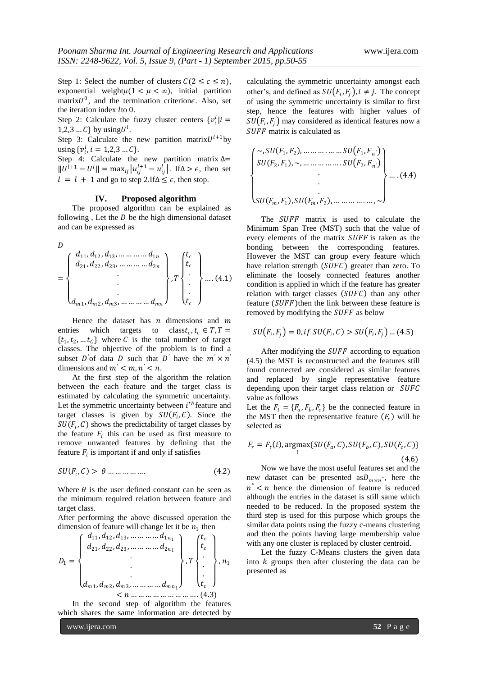Step 1: Select the number of clusters  $C(2 \leq c \leq n)$ , exponential weight $\mu(1 < \mu < \infty)$ , initial partition matrix $U^0$ , and the termination criterione. Also, set the iteration index *lto* 0.

Step 2: Calculate the fuzzy cluster centers  $\{v_i^l | i =$ 1,2,3 ... C} by using  $U^l$ .

Step 3: Calculate the new partition matrix  $U^{l+1}$  by using  $\{v_i^l, i = 1, 2, 3 \dots C\}$ .

Step 4: Calculate the new partition matrix  $\Delta$ =  $||U^{l+1} - U^l|| = \max_{ij} |u_{ij}^{l+1} - u_{ij}^l|$ . If  $\Delta > \epsilon$ , then set  $l = l + 1$  and go to step 2.If $\Delta \leq \epsilon$ , then stop.

## **IV. Proposed algorithm**

The proposed algorithm can be explained as following , Let the  $D$  be the high dimensional dataset and can be expressed as

 $\overline{D}$ 

$$
= \begin{pmatrix} d_{11}, d_{12}, d_{13}, \dots \dots \dots \dots d_{1n} \\ d_{21}, d_{22}, d_{23}, \dots \dots \dots \dots d_{2n} \\ \vdots \\ d_{m1}, d_{m2}, d_{m3}, \dots \dots \dots \dots d_{mn} \end{pmatrix}, T \begin{pmatrix} t_c \\ t_c \\ \vdots \\ t_c \end{pmatrix} \dots (4.1)
$$

Hence the dataset has  $n$  dimensions and  $m$ entries which targets to classt<sub>c</sub>,  $t_c \in T$ ,  $T =$  $\{t_1, t_2, \dots t_{\mathcal{C}}\}$  where C is the total number of target classes. The objective of the problem is to find a subset D'of data D such that D' have the  $m' \times n'$ dimensions and  $m' < m, n' < n$ .

At the first step of the algorithm the relation between the each feature and the target class is estimated by calculating the symmetric uncertainty. Let the symmetric uncertainty between  $i^{th}$  feature and target classes is given by  $SU(F_i, C)$ . Since the  $SU(F_i, C)$  shows the predictability of target classes by the feature  $F_i$  this can be used as first measure to remove unwanted features by defining that the feature  $F_i$  is important if and only if satisfies

$$
SU(F_i, C) > \theta \dots \dots \dots \dots \tag{4.2}
$$

Where  $\theta$  is the user defined constant can be seen as the minimum required relation between feature and target class.

After performing the above discussed operation the dimension of feature will change let it be  $n_1$  then

$$
D_1 = \begin{Bmatrix} d_{11}, d_{12}, d_{13}, \dots & \dots & d_{1n_1} \\ d_{21}, d_{22}, d_{23}, \dots & \dots & d_{2n_1} \\ \vdots & \vdots & \ddots & \vdots \\ d_{m1}, d_{m2}, d_{m3}, \dots & \dots & d_{mn_1} \end{Bmatrix}, T \begin{Bmatrix} t_c \\ t_c \\ \vdots \\ t_c \end{Bmatrix}, n_1
$$
  

$$
< n \dots & \dots & \dots & (4.3)
$$

In the second step of algorithm the features which shares the same information are detected by calculating the symmetric uncertainty amongst each other's, and defined as  $SU(F_i, F_j)$ ,  $i \neq j$ . The concept of using the symmetric uncertainty is similar to first step, hence the features with higher values of  $SU(F_i, F_j)$  may considered as identical features now a SUFF matrix is calculated as

 ~, <sup>1</sup> , <sup>2</sup> , … … … . … … <sup>1</sup> , *′* <sup>2</sup> , <sup>1</sup> , ~, … … … … … . <sup>2</sup> , *′* . . . , <sup>1</sup> , , <sup>2</sup> , … … … … . … , ~ … . (4.4)

The SUFF matrix is used to calculate the Minimum Span Tree (MST) such that the value of every elements of the matrix SUFF is taken as the bonding between the corresponding features. However the MST can group every feature which have relation strength  $(SUFC)$  greater than zero. To eliminate the loosely connected features another condition is applied in which if the feature has greater relation with target classes  $(SUFC)$  than any other feature  $(SUFF)$ then the link between these feature is removed by modifying the SUFF as below

$$
SU(F_i, F_j) = 0, \text{ if } SU(F_i, C) > SU(F_i, F_j) \dots (4.5)
$$

After modifying the  $SUFF$  according to equation (4.5) the MST is reconstructed and the features still found connected are considered as similar features and replaced by single representative feature depending upon their target class relation or SUFC value as follows

Let the  $F_t = \{F_a, F_b, F_c\}$  be the connected feature in the MST then the representative feature  $(F_r)$  will be selected as

$$
F_r = F_t(i), \underset{i}{\text{argmax}} \{ SU(F_a, C), SU(F_b, C), SU(F_c, C) \}
$$
\n
$$
(4.6)
$$

Now we have the most useful features set and the new dataset can be presented as  $D_{m \times n}$ <sup>"</sup>, here the  $n'' < n$  hence the dimension of feature is reduced although the entries in the dataset is still same which needed to be reduced. In the proposed system the third step is used for this purpose which groups the similar data points using the fuzzy c-means clustering and then the points having large membership value with any one cluster is replaced by cluster centroid.

Let the fuzzy C-Means clusters the given data into  $k$  groups then after clustering the data can be presented as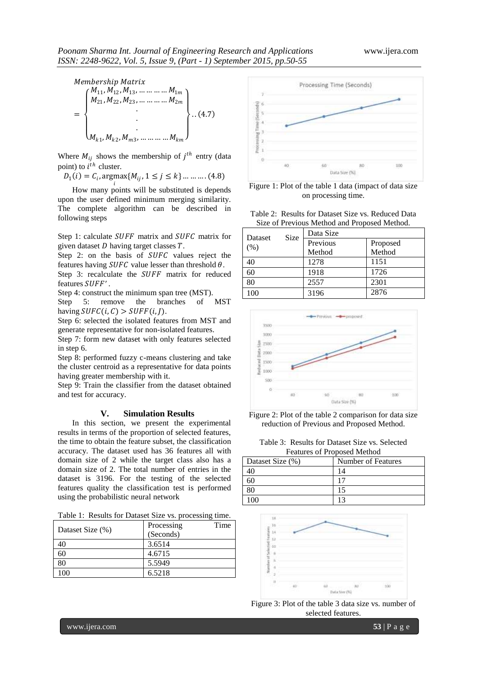

Where  $M_{ij}$  shows the membership of  $j^{th}$  entry (data point) to  $i^{th}$  cluster.

 $D_1(i) = C_i$ ,  $\arg\max_i \{M_{ij}, 1 \le j \le k\} \dots \dots \dots (4.8)$ 

How many points will be substituted is depends upon the user defined minimum merging similarity. The complete algorithm can be described in following steps

Step 1: calculate  $SUFF$  matrix and  $SUFC$  matrix for given dataset  $D$  having target classes  $T$ .

Step 2: on the basis of  $SUFC$  values reject the features having  $SUFC$  value lesser than threshold  $\theta$ .

Step 3: recalculate the SUFF matrix for reduced features *SUFF'*.

Step 4: construct the minimum span tree (MST).

Step 5: remove the branches of MST having  $SUFC(i, C) > SUFF(i, J)$ .

Step 6: selected the isolated features from MST and generate representative for non-isolated features.

Step 7: form new dataset with only features selected in step 6.

Step 8: performed fuzzy c-means clustering and take the cluster centroid as a representative for data points having greater membership with it.

Step 9: Train the classifier from the dataset obtained and test for accuracy.

#### **V. Simulation Results**

In this section, we present the experimental results in terms of the proportion of selected features, the time to obtain the feature subset, the classification accuracy. The dataset used has 36 features all with domain size of 2 while the target class also has a domain size of 2. The total number of entries in the dataset is 3196. For the testing of the selected features quality the classification test is performed using the probabilistic neural network

Table 1: Results for Dataset Size vs. processing time.

| Dataset Size (%) | Time<br>Processing |
|------------------|--------------------|
|                  | (Seconds)          |
| 40               | 3.6514             |
| 60               | 4.6715             |
| 80               | 5.5949             |
| 100              | 6.5218             |



Figure 1: Plot of the table 1 data (impact of data size on processing time.

Table 2: Results for Dataset Size vs. Reduced Data Size of Previous Method and Proposed Method.

| Dataset | Size | Data Size |          |
|---------|------|-----------|----------|
| $(\%)$  |      | Previous  | Proposed |
|         |      | Method    | Method   |
| 40      |      | 1278      | 1151     |
| 60      |      | 1918      | 1726     |
| 80      |      | 2557      | 2301     |
| 100     |      | 3196      | 2876     |



Figure 2: Plot of the table 2 comparison for data size reduction of Previous and Proposed Method.

Table 3: Results for Dataset Size vs. Selected Features of Proposed Method

| Dataset Size (%) | Number of Features |
|------------------|--------------------|
|                  |                    |
|                  |                    |
|                  |                    |
|                  |                    |



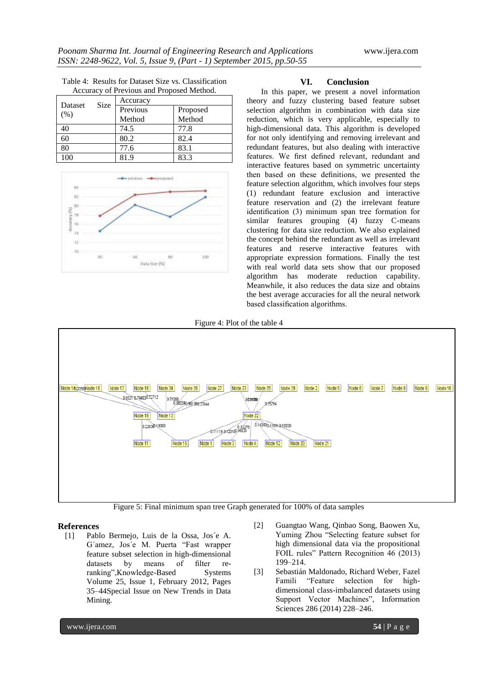|                                           | Table 4: Results for Dataset Size vs. Classification |  |
|-------------------------------------------|------------------------------------------------------|--|
| Accuracy of Previous and Proposed Method. |                                                      |  |

| <b>Dataset</b> |      | Accuracy |          |
|----------------|------|----------|----------|
|                | Size | Previous | Proposed |
| $(\%)$         |      | Method   | Method   |
| 40             |      | 74.5     | 77.8     |
| 60             |      | 80.2     | 82.4     |
| 80             |      | 77.6     | 83.1     |
| 100            |      | 81.9     | 83.3     |



# **VI. Conclusion**

In this paper, we present a novel information theory and fuzzy clustering based feature subset selection algorithm in combination with data size reduction, which is very applicable, especially to high-dimensional data. This algorithm is developed for not only identifying and removing irrelevant and redundant features, but also dealing with interactive features. We first defined relevant, redundant and interactive features based on symmetric uncertainty then based on these definitions, we presented the feature selection algorithm, which involves four steps (1) redundant feature exclusion and interactive feature reservation and (2) the irrelevant feature identification (3) minimum span tree formation for similar features grouping (4) fuzzy C-means clustering for data size reduction. We also explained the concept behind the redundant as well as irrelevant features and reserve interactive features with appropriate expression formations. Finally the test with real world data sets show that our proposed algorithm has moderate reduction capability. Meanwhile, it also reduces the data size and obtains the best average accuracies for all the neural network based classification algorithms.

Figure 4: Plot of the table 4



Figure 5: Final minimum span tree Graph generated for 100% of data samples

# **References**

- [1] Pablo Bermejo, Luis de la Ossa, Jos´e A. G´amez, Jos´e M. Puerta "Fast wrapper feature subset selection in high-dimensional datasets by means of filter reranking",Knowledge-Based Systems Volume 25, Issue 1, February 2012, Pages 35–44Special Issue on New Trends in Data Mining.
- [2] Guangtao Wang, Qinbao Song, Baowen Xu, Yuming Zhou "Selecting feature subset for high dimensional data via the propositional FOIL rules" Pattern Recognition 46 (2013) 199–214.
- [3] Sebastián Maldonado, Richard Weber, Fazel Famili "Feature selection for highdimensional class-imbalanced datasets using Support Vector Machines", Information Sciences 286 (2014) 228–246.